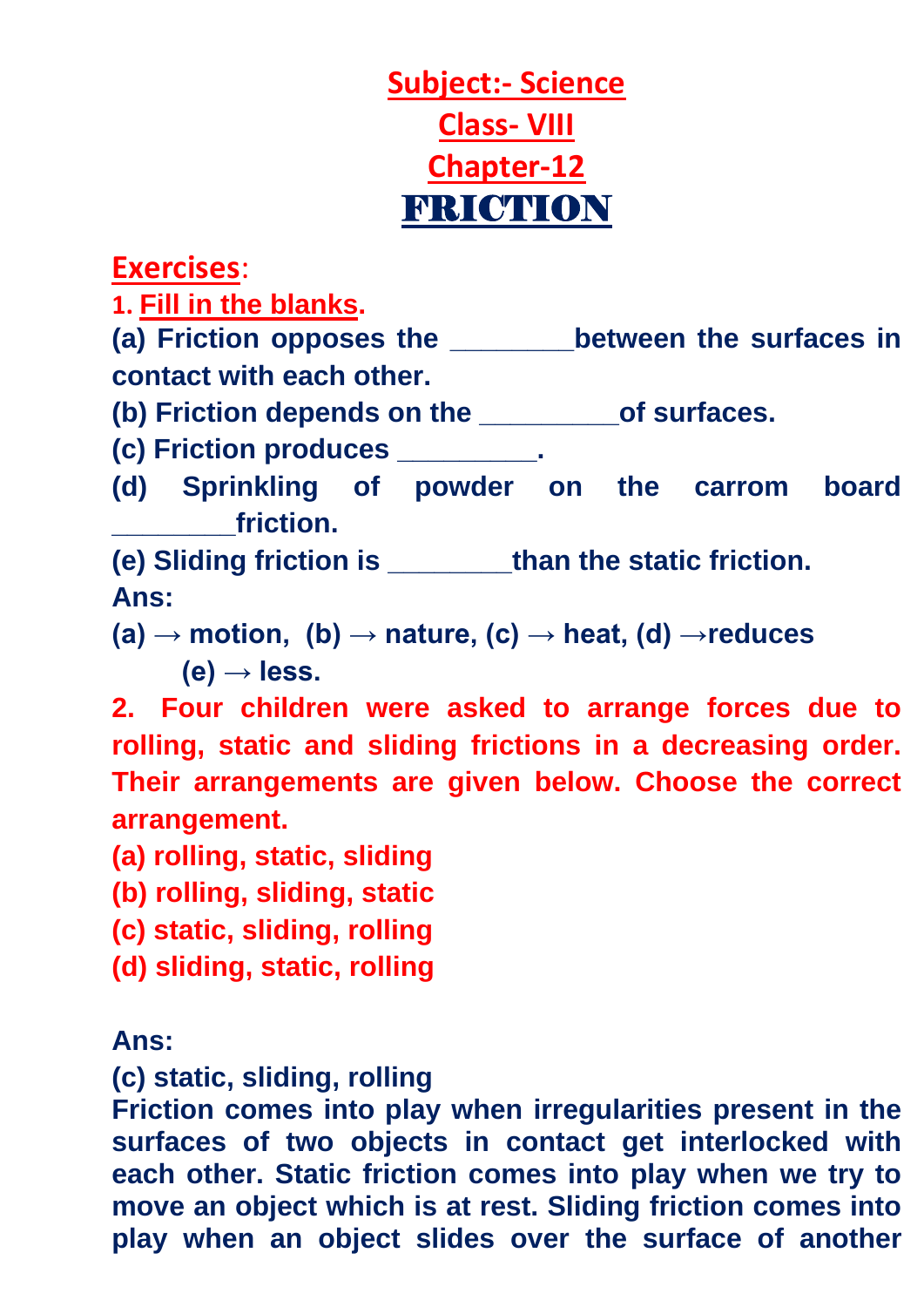# **Subject:- Science Class- VIII Chapter-12** FRICTION

**Exercises**:

**1. Fill in the blanks.**

**(a) Friction opposes the \_\_\_\_\_\_\_\_between the surfaces in contact with each other.**

**(b) Friction depends on the \_\_\_\_\_\_\_\_\_of surfaces.**

**(c) Friction produces \_\_\_\_\_\_\_\_\_.**

**(d) Sprinkling of powder on the carrom board \_\_\_\_\_\_\_\_friction.**

**(e) Sliding friction is \_\_\_\_\_\_\_\_than the static friction. Ans:** 

 $(a) \rightarrow$  motion,  $(b) \rightarrow$  nature,  $(c) \rightarrow$  heat,  $(d) \rightarrow$  reduces  $(e) \rightarrow$  less.

**2. Four children were asked to arrange forces due to rolling, static and sliding frictions in a decreasing order. Their arrangements are given below. Choose the correct arrangement.**

**(a) rolling, static, sliding**

- **(b) rolling, sliding, static**
- **(c) static, sliding, rolling**
- **(d) sliding, static, rolling**

### **Ans:**

**(c) static, sliding, rolling**

**Friction comes into play when irregularities present in the surfaces of two objects in contact get interlocked with each other. Static friction comes into play when we try to move an object which is at rest. Sliding friction comes into play when an object slides over the surface of another**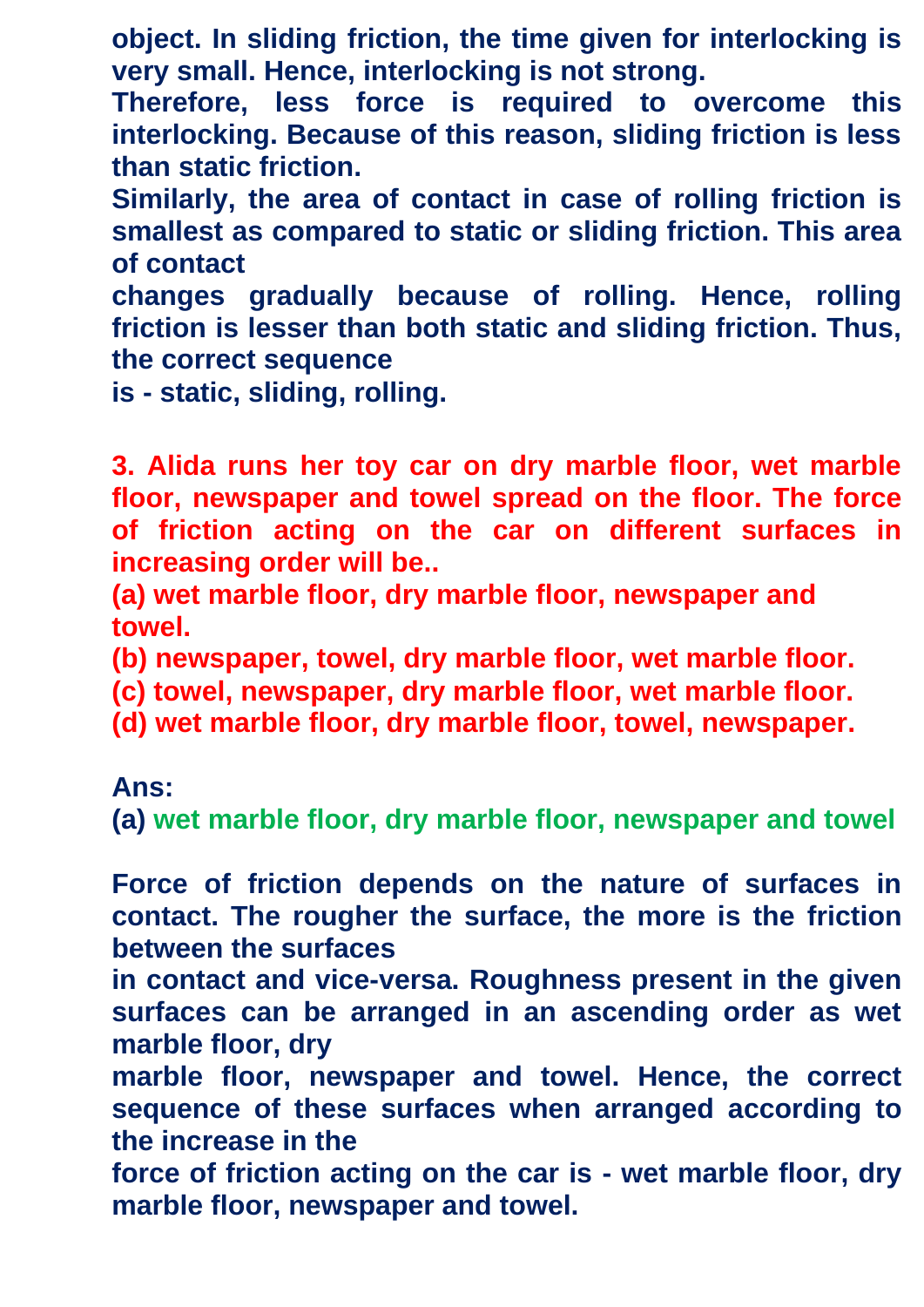**object. In sliding friction, the time given for interlocking is very small. Hence, interlocking is not strong.**

**Therefore, less force is required to overcome this interlocking. Because of this reason, sliding friction is less than static friction.**

**Similarly, the area of contact in case of rolling friction is smallest as compared to static or sliding friction. This area of contact**

**changes gradually because of rolling. Hence, rolling friction is lesser than both static and sliding friction. Thus, the correct sequence**

**is - static, sliding, rolling.**

**3. Alida runs her toy car on dry marble floor, wet marble floor, newspaper and towel spread on the floor. The force of friction acting on the car on different surfaces in increasing order will be..**

**(a) wet marble floor, dry marble floor, newspaper and towel.**

**(b) newspaper, towel, dry marble floor, wet marble floor.**

**(c) towel, newspaper, dry marble floor, wet marble floor.**

**(d) wet marble floor, dry marble floor, towel, newspaper.**

**Ans:**

**(a) wet marble floor, dry marble floor, newspaper and towel**

**Force of friction depends on the nature of surfaces in contact. The rougher the surface, the more is the friction between the surfaces**

**in contact and vice-versa. Roughness present in the given surfaces can be arranged in an ascending order as wet marble floor, dry**

**marble floor, newspaper and towel. Hence, the correct sequence of these surfaces when arranged according to the increase in the**

**force of friction acting on the car is - wet marble floor, dry marble floor, newspaper and towel.**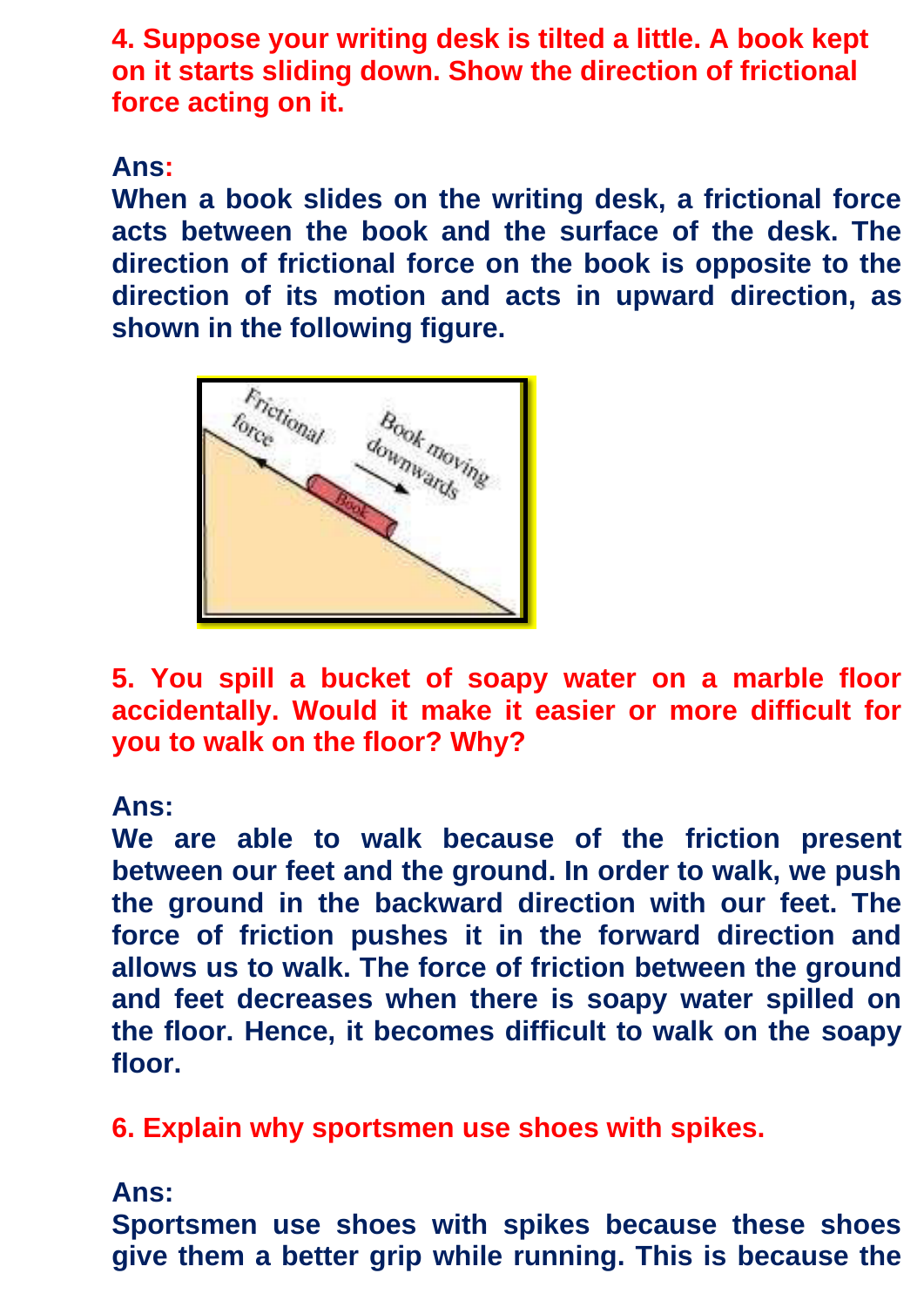**4. Suppose your writing desk is tilted a little. A book kept on it starts sliding down. Show the direction of frictional force acting on it.**

## **Ans:**

**When a book slides on the writing desk, a frictional force acts between the book and the surface of the desk. The direction of frictional force on the book is opposite to the direction of its motion and acts in upward direction, as shown in the following figure.**



**5. You spill a bucket of soapy water on a marble floor accidentally. Would it make it easier or more difficult for you to walk on the floor? Why?**

### **Ans:**

**We are able to walk because of the friction present between our feet and the ground. In order to walk, we push the ground in the backward direction with our feet. The force of friction pushes it in the forward direction and allows us to walk. The force of friction between the ground and feet decreases when there is soapy water spilled on the floor. Hence, it becomes difficult to walk on the soapy floor.**

**6. Explain why sportsmen use shoes with spikes.**

## **Ans:**

**Sportsmen use shoes with spikes because these shoes give them a better grip while running. This is because the**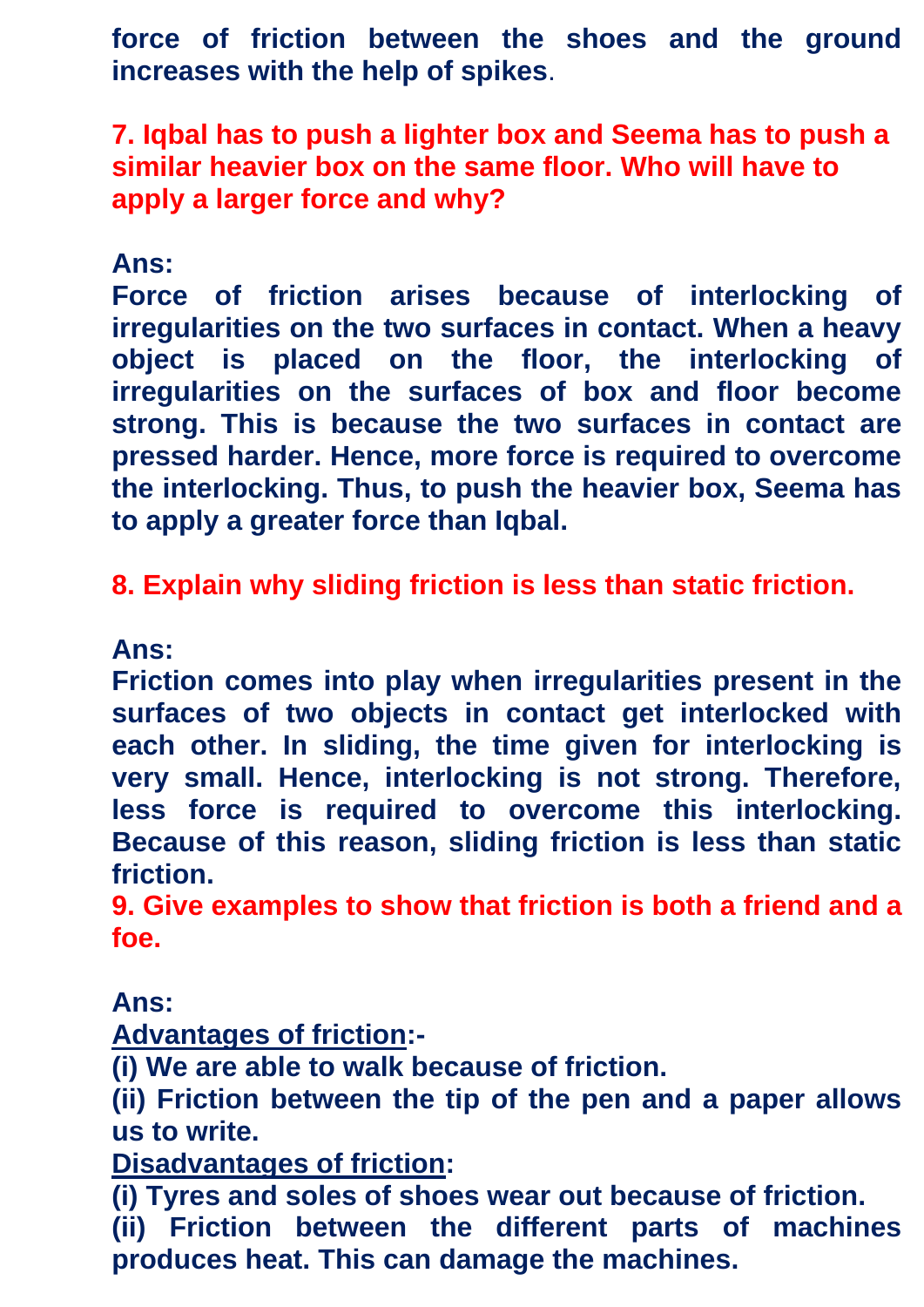**force of friction between the shoes and the ground increases with the help of spikes**.

**7. Iqbal has to push a lighter box and Seema has to push a similar heavier box on the same floor. Who will have to apply a larger force and why?**

## **Ans:**

**Force of friction arises because of interlocking of irregularities on the two surfaces in contact. When a heavy object is placed on the floor, the interlocking of irregularities on the surfaces of box and floor become strong. This is because the two surfaces in contact are pressed harder. Hence, more force is required to overcome the interlocking. Thus, to push the heavier box, Seema has to apply a greater force than Iqbal.**

**8. Explain why sliding friction is less than static friction.**

#### **Ans:**

**Friction comes into play when irregularities present in the surfaces of two objects in contact get interlocked with each other. In sliding, the time given for interlocking is very small. Hence, interlocking is not strong. Therefore, less force is required to overcome this interlocking. Because of this reason, sliding friction is less than static friction.**

**9. Give examples to show that friction is both a friend and a foe.**

#### **Ans:**

**Advantages of friction:-**

**(i) We are able to walk because of friction.**

**(ii) Friction between the tip of the pen and a paper allows us to write.**

**Disadvantages of friction:**

**(i) Tyres and soles of shoes wear out because of friction. (ii) Friction between the different parts of machines produces heat. This can damage the machines.**